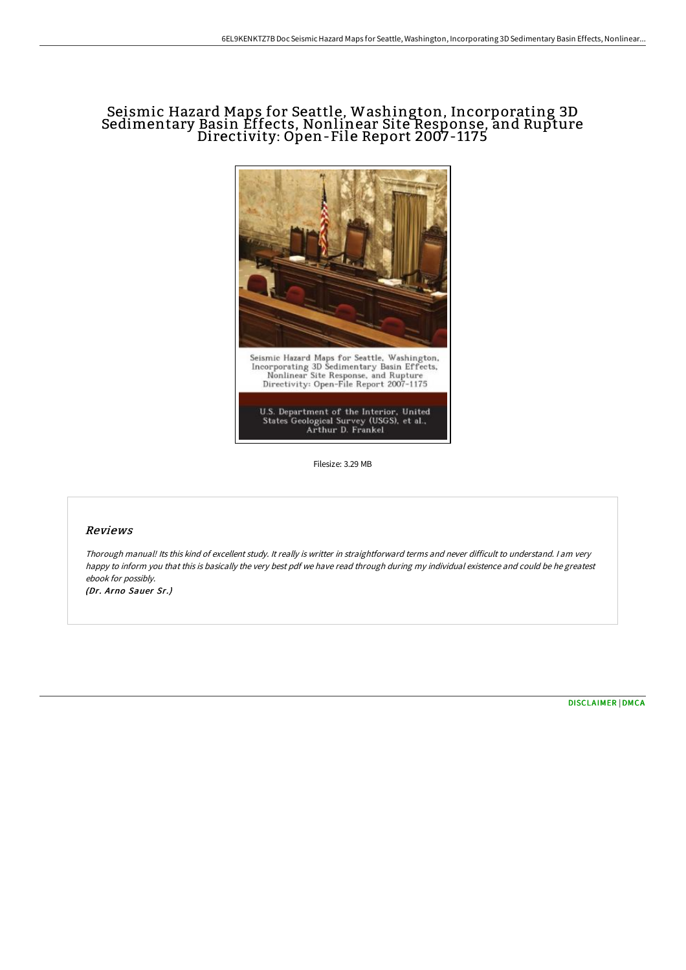# Seismic Hazard Maps for Seattle, Washington, Incorporating 3D Sedimentary Basin Effects, Nonlinear Site Response, and Rupture Directivity: Open-File Report 2007-1175



Filesize: 3.29 MB

### Reviews

Thorough manual! Its this kind of excellent study. It really is writter in straightforward terms and never difficult to understand. <sup>I</sup> am very happy to inform you that this is basically the very best pdf we have read through during my individual existence and could be he greatest ebook for possibly.

(Dr. Arno Sauer Sr.)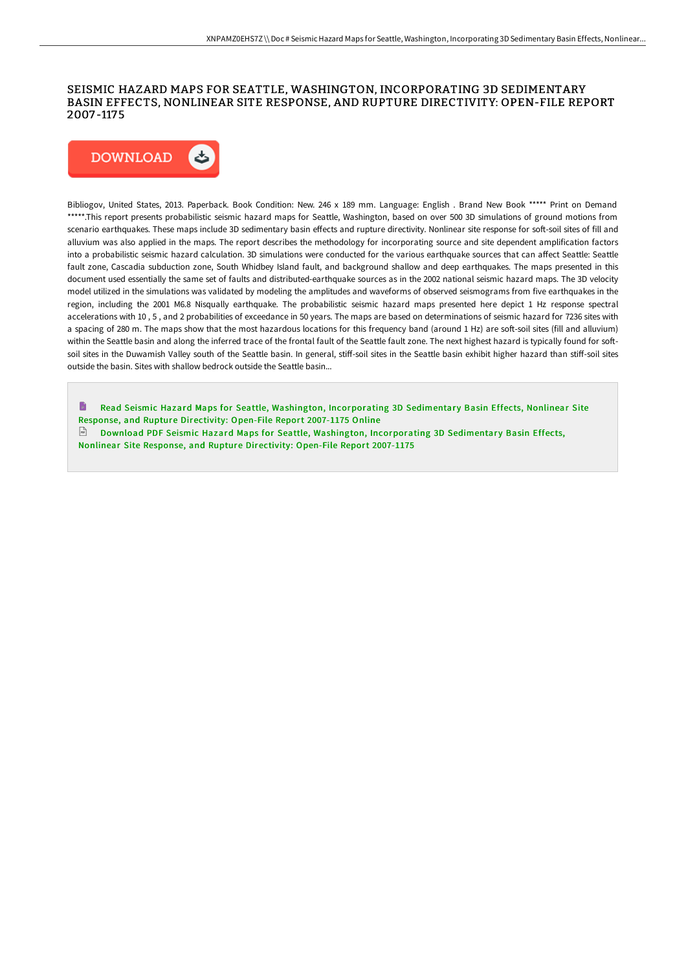### SEISMIC HAZARD MAPS FOR SEATTLE, WASHINGTON, INCORPORATING 3D SEDIMENTARY BASIN EFFECTS, NONLINEAR SITE RESPONSE, AND RUPTURE DIRECTIVITY: OPEN-FILE REPORT 2007 -1175



Bibliogov, United States, 2013. Paperback. Book Condition: New. 246 x 189 mm. Language: English . Brand New Book \*\*\*\*\* Print on Demand \*\*\*\*\*.This report presents probabilistic seismic hazard maps for Seattle, Washington, based on over 500 3D simulations of ground motions from scenario earthquakes. These maps include 3D sedimentary basin effects and rupture directivity. Nonlinear site response for soft-soil sites of fill and alluvium was also applied in the maps. The report describes the methodology for incorporating source and site dependent amplification factors into a probabilistic seismic hazard calculation. 3D simulations were conducted for the various earthquake sources that can affect Seattle: Seattle fault zone, Cascadia subduction zone, South Whidbey Island fault, and background shallow and deep earthquakes. The maps presented in this document used essentially the same set of faults and distributed-earthquake sources as in the 2002 national seismic hazard maps. The 3D velocity model utilized in the simulations was validated by modeling the amplitudes and waveforms of observed seismograms from five earthquakes in the region, including the 2001 M6.8 Nisqually earthquake. The probabilistic seismic hazard maps presented here depict 1 Hz response spectral accelerations with 10 , 5 , and 2 probabilities of exceedance in 50 years. The maps are based on determinations of seismic hazard for 7236 sites with a spacing of 280 m. The maps show that the most hazardous locations for this frequency band (around 1 Hz) are soft-soil sites (fill and alluvium) within the Seattle basin and along the inferred trace of the frontal fault of the Seattle fault zone. The next highest hazard is typically found for softsoil sites in the Duwamish Valley south of the Seattle basin. In general, stiff-soil sites in the Seattle basin exhibit higher hazard than stiff-soil sites outside the basin. Sites with shallow bedrock outside the Seattle basin...

h Read Seismic Hazard Maps for Seattle, Washington, [Incorporating](http://bookera.tech/seismic-hazard-maps-for-seattle-washington-incor.html) 3D Sedimentary Basin Effects, Nonlinear Site Response, and Rupture Directivity: Open-File Report 2007-1175 Online

 $\Box$  Download PDF Seismic Hazard Maps for Seattle, Washington, [Incorporating](http://bookera.tech/seismic-hazard-maps-for-seattle-washington-incor.html) 3D Sedimentary Basin Effects, Nonlinear Site Response, and Rupture Directivity: Open-File Report 2007-1175